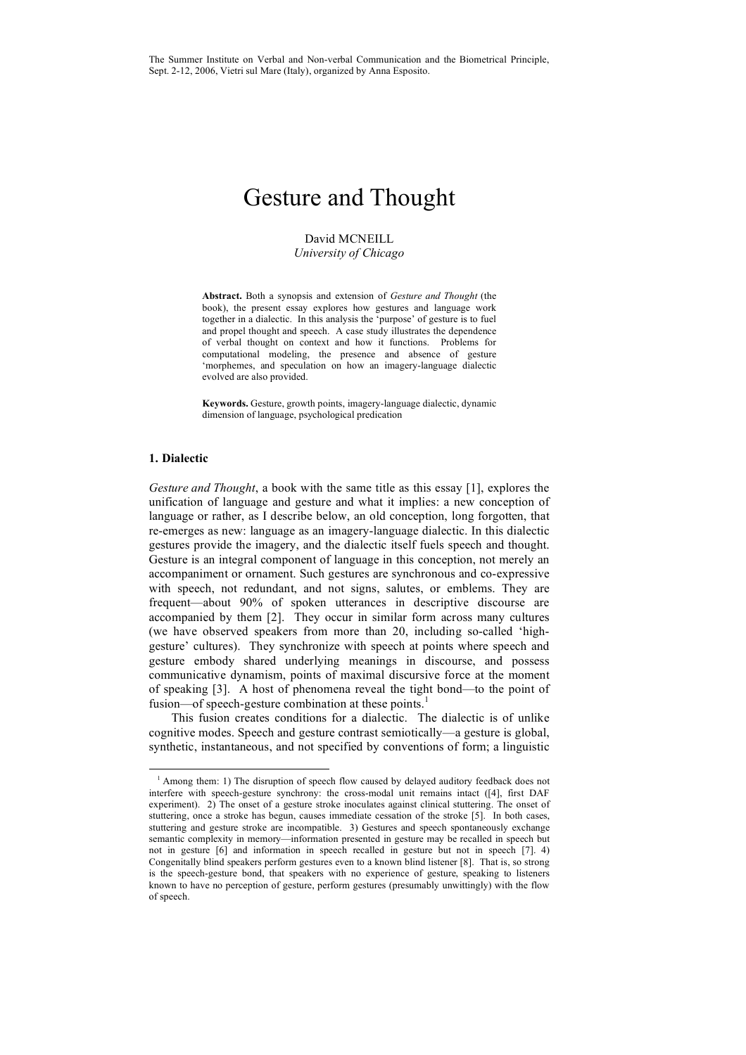# Gesture and Thought

### David MCNEILL *University of Chicago*

**Abstract.** Both a synopsis and extension of *Gesture and Thought* (the book), the present essay explores how gestures and language work together in a dialectic. In this analysis the 'purpose' of gesture is to fuel and propel thought and speech. A case study illustrates the dependence of verbal thought on context and how it functions. Problems for computational modeling, the presence and absence of gesture 'morphemes, and speculation on how an imagery-language dialectic evolved are also provided.

**Keywords.** Gesture, growth points, imagery-language dialectic, dynamic dimension of language, psychological predication

# **1. Dialectic**

*Gesture and Thought*, a book with the same title as this essay [1], explores the unification of language and gesture and what it implies: a new conception of language or rather, as I describe below, an old conception, long forgotten, that re-emerges as new: language as an imagery-language dialectic. In this dialectic gestures provide the imagery, and the dialectic itself fuels speech and thought. Gesture is an integral component of language in this conception, not merely an accompaniment or ornament. Such gestures are synchronous and co-expressive with speech, not redundant, and not signs, salutes, or emblems. They are frequent—about 90% of spoken utterances in descriptive discourse are accompanied by them [2]. They occur in similar form across many cultures (we have observed speakers from more than 20, including so-called 'highgesture' cultures). They synchronize with speech at points where speech and gesture embody shared underlying meanings in discourse, and possess communicative dynamism, points of maximal discursive force at the moment of speaking [3]. A host of phenomena reveal the tight bond—to the point of fusion—of speech-gesture combination at these points.<sup>1</sup>

This fusion creates conditions for a dialectic. The dialectic is of unlike cognitive modes. Speech and gesture contrast semiotically—a gesture is global, synthetic, instantaneous, and not specified by conventions of form; a linguistic

<sup>&</sup>lt;sup>1</sup> Among them: 1) The disruption of speech flow caused by delayed auditory feedback does not interfere with speech-gesture synchrony: the cross-modal unit remains intact ([4], first DAF experiment). 2) The onset of a gesture stroke inoculates against clinical stuttering. The onset of stuttering, once a stroke has begun, causes immediate cessation of the stroke [5]. In both cases, stuttering and gesture stroke are incompatible. 3) Gestures and speech spontaneously exchange semantic complexity in memory—information presented in gesture may be recalled in speech but not in gesture [6] and information in speech recalled in gesture but not in speech [7]. 4) Congenitally blind speakers perform gestures even to a known blind listener [8]. That is, so strong is the speech-gesture bond, that speakers with no experience of gesture, speaking to listeners known to have no perception of gesture, perform gestures (presumably unwittingly) with the flow of speech.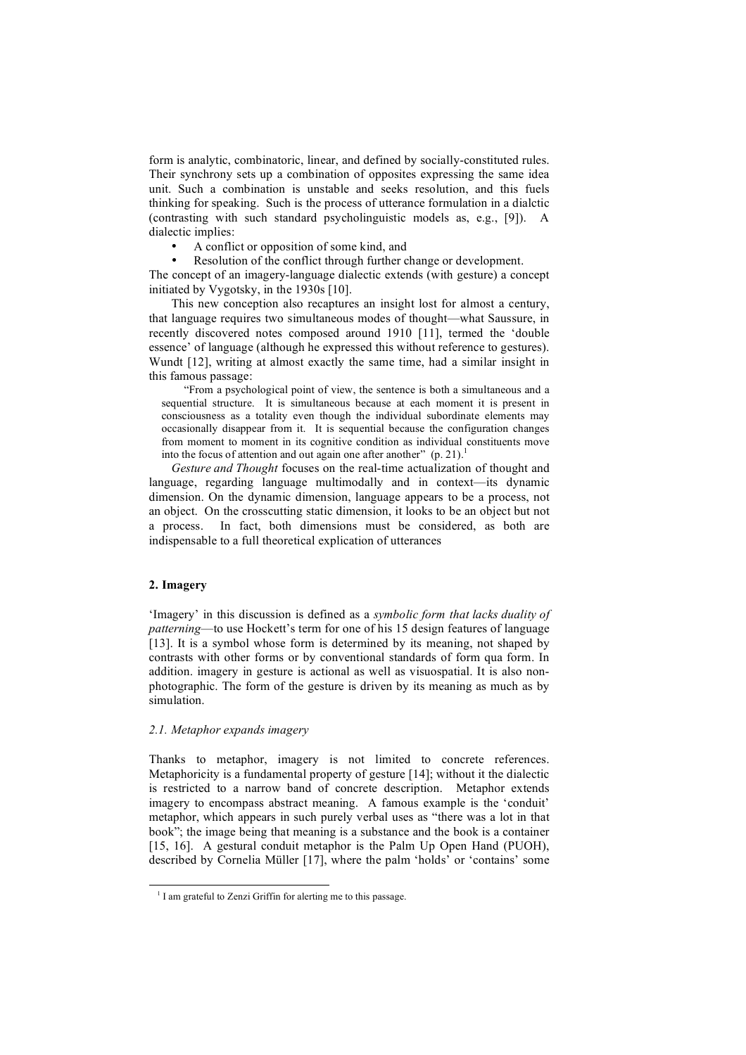form is analytic, combinatoric, linear, and defined by socially-constituted rules. Their synchrony sets up a combination of opposites expressing the same idea unit. Such a combination is unstable and seeks resolution, and this fuels thinking for speaking. Such is the process of utterance formulation in a dialctic (contrasting with such standard psycholinguistic models as, e.g., [9]). A dialectic implies:

- A conflict or opposition of some kind, and<br>• Resolution of the conflict through further c
- Resolution of the conflict through further change or development.

The concept of an imagery-language dialectic extends (with gesture) a concept initiated by Vygotsky, in the 1930s [10].

This new conception also recaptures an insight lost for almost a century, that language requires two simultaneous modes of thought—what Saussure, in recently discovered notes composed around 1910 [11], termed the 'double essence' of language (although he expressed this without reference to gestures). Wundt [12], writing at almost exactly the same time, had a similar insight in this famous passage:

"From a psychological point of view, the sentence is both a simultaneous and a sequential structure. It is simultaneous because at each moment it is present in consciousness as a totality even though the individual subordinate elements may occasionally disappear from it. It is sequential because the configuration changes from moment to moment in its cognitive condition as individual constituents move into the focus of attention and out again one after another"  $(p, 21)$ .

*Gesture and Thought* focuses on the real-time actualization of thought and language, regarding language multimodally and in context—its dynamic dimension. On the dynamic dimension, language appears to be a process, not an object. On the crosscutting static dimension, it looks to be an object but not a process. In fact, both dimensions must be considered, as both are indispensable to a full theoretical explication of utterances

### **2. Imagery**

'Imagery' in this discussion is defined as a *symbolic form that lacks duality of patterning*—to use Hockett's term for one of his 15 design features of language [13]. It is a symbol whose form is determined by its meaning, not shaped by contrasts with other forms or by conventional standards of form qua form. In addition. imagery in gesture is actional as well as visuospatial. It is also nonphotographic. The form of the gesture is driven by its meaning as much as by simulation.

#### *2.1. Metaphor expands imagery*

Thanks to metaphor, imagery is not limited to concrete references. Metaphoricity is a fundamental property of gesture [14]; without it the dialectic is restricted to a narrow band of concrete description. Metaphor extends imagery to encompass abstract meaning. A famous example is the 'conduit' metaphor, which appears in such purely verbal uses as "there was a lot in that book"; the image being that meaning is a substance and the book is a container [15, 16]. A gestural conduit metaphor is the Palm Up Open Hand (PUOH), described by Cornelia Müller [17], where the palm 'holds' or 'contains' some

<sup>&</sup>lt;sup>1</sup> I am grateful to Zenzi Griffin for alerting me to this passage.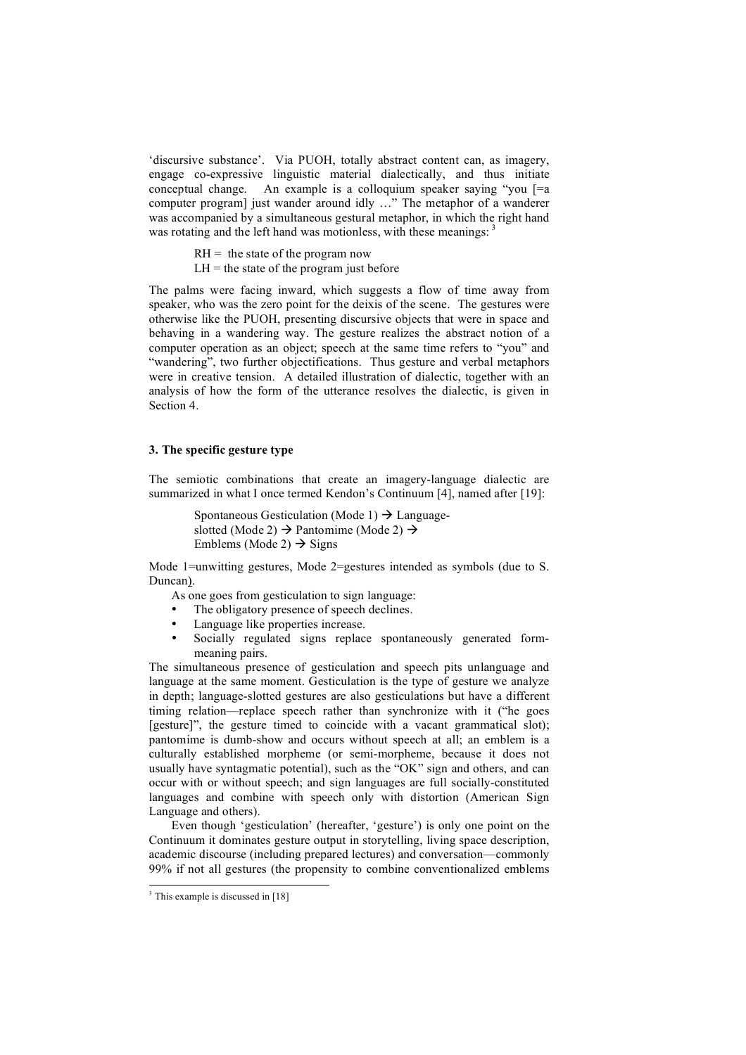'discursive substance'. Via PUOH, totally abstract content can, as imagery, engage co-expressive linguistic material dialectically, and thus initiate conceptual change. An example is a colloquium speaker saying "you  $[=a$ computer program] just wander around idly …" The metaphor of a wanderer was accompanied by a simultaneous gestural metaphor, in which the right hand was rotating and the left hand was motionless, with these meanings:

> $RH =$  the state of the program now  $LH =$  the state of the program just before

The palms were facing inward, which suggests a flow of time away from speaker, who was the zero point for the deixis of the scene. The gestures were otherwise like the PUOH, presenting discursive objects that were in space and behaving in a wandering way. The gesture realizes the abstract notion of a computer operation as an object; speech at the same time refers to "you" and "wandering", two further objectifications. Thus gesture and verbal metaphors were in creative tension. A detailed illustration of dialectic, together with an analysis of how the form of the utterance resolves the dialectic, is given in Section 4.

#### **3. The specific gesture type**

The semiotic combinations that create an imagery-language dialectic are summarized in what I once termed Kendon's Continuum [4], named after [19]:

> Spontaneous Gesticulation (Mode 1)  $\rightarrow$  Languageslotted (Mode 2)  $\rightarrow$  Pantomime (Mode 2)  $\rightarrow$ Emblems (Mode 2)  $\rightarrow$  Signs

Mode 1=unwitting gestures, Mode 2=gestures intended as symbols (due to S. Duncan).

As one goes from gesticulation to sign language:

- The obligatory presence of speech declines.
- Language like properties increase.
- Socially regulated signs replace spontaneously generated formmeaning pairs.

The simultaneous presence of gesticulation and speech pits unlanguage and language at the same moment. Gesticulation is the type of gesture we analyze in depth; language-slotted gestures are also gesticulations but have a different timing relation—replace speech rather than synchronize with it ("he goes [gesture]", the gesture timed to coincide with a vacant grammatical slot); pantomime is dumb-show and occurs without speech at all; an emblem is a culturally established morpheme (or semi-morpheme, because it does not usually have syntagmatic potential), such as the "OK" sign and others, and can occur with or without speech; and sign languages are full socially-constituted languages and combine with speech only with distortion (American Sign Language and others).

Even though 'gesticulation' (hereafter, 'gesture') is only one point on the Continuum it dominates gesture output in storytelling, living space description, academic discourse (including prepared lectures) and conversation—commonly 99% if not all gestures (the propensity to combine conventionalized emblems

 $3$  This example is discussed in [18]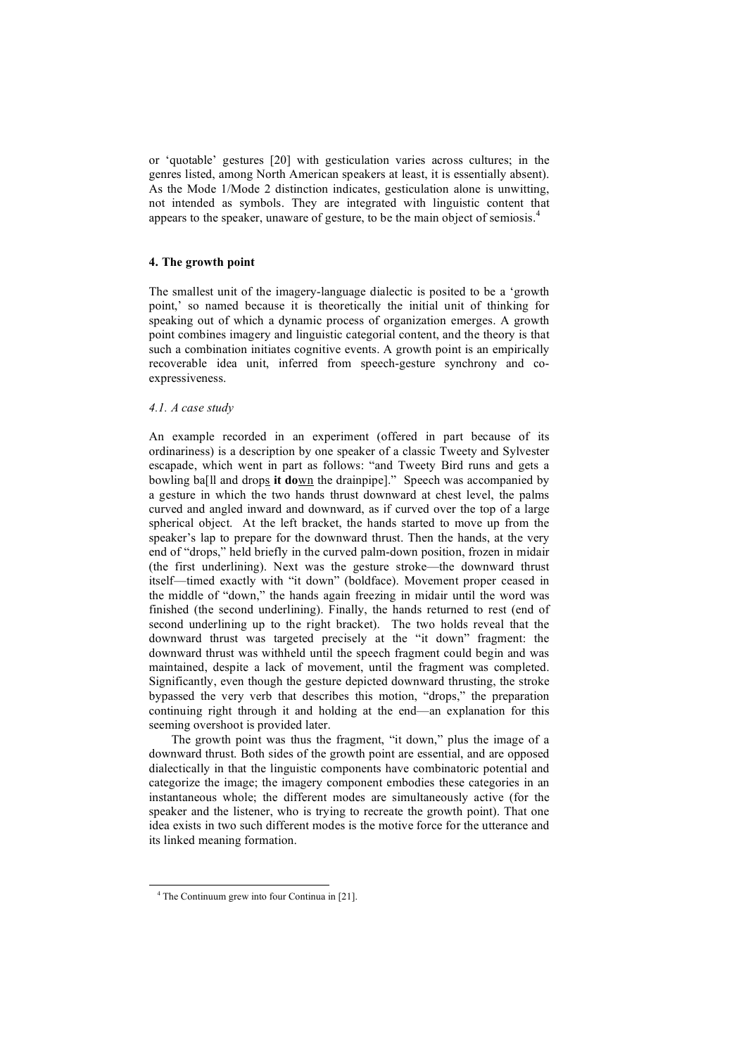or 'quotable' gestures [20] with gesticulation varies across cultures; in the genres listed, among North American speakers at least, it is essentially absent). As the Mode 1/Mode 2 distinction indicates, gesticulation alone is unwitting, not intended as symbols. They are integrated with linguistic content that appears to the speaker, unaware of gesture, to be the main object of semiosis. 4

# **4. The growth point**

The smallest unit of the imagery-language dialectic is posited to be a 'growth point,' so named because it is theoretically the initial unit of thinking for speaking out of which a dynamic process of organization emerges. A growth point combines imagery and linguistic categorial content, and the theory is that such a combination initiates cognitive events. A growth point is an empirically recoverable idea unit, inferred from speech-gesture synchrony and coexpressiveness.

#### *4.1. A case study*

An example recorded in an experiment (offered in part because of its ordinariness) is a description by one speaker of a classic Tweety and Sylvester escapade, which went in part as follows: "and Tweety Bird runs and gets a bowling ba[ll and drops **it do**wn the drainpipe]." Speech was accompanied by a gesture in which the two hands thrust downward at chest level, the palms curved and angled inward and downward, as if curved over the top of a large spherical object. At the left bracket, the hands started to move up from the speaker's lap to prepare for the downward thrust. Then the hands, at the very end of "drops," held briefly in the curved palm-down position, frozen in midair (the first underlining). Next was the gesture stroke—the downward thrust itself—timed exactly with "it down" (boldface). Movement proper ceased in the middle of "down," the hands again freezing in midair until the word was finished (the second underlining). Finally, the hands returned to rest (end of second underlining up to the right bracket). The two holds reveal that the downward thrust was targeted precisely at the "it down" fragment: the downward thrust was withheld until the speech fragment could begin and was maintained, despite a lack of movement, until the fragment was completed. Significantly, even though the gesture depicted downward thrusting, the stroke bypassed the very verb that describes this motion, "drops," the preparation continuing right through it and holding at the end—an explanation for this seeming overshoot is provided later.

The growth point was thus the fragment, "it down," plus the image of a downward thrust. Both sides of the growth point are essential, and are opposed dialectically in that the linguistic components have combinatoric potential and categorize the image; the imagery component embodies these categories in an instantaneous whole; the different modes are simultaneously active (for the speaker and the listener, who is trying to recreate the growth point). That one idea exists in two such different modes is the motive force for the utterance and its linked meaning formation.

 <sup>4</sup> The Continuum grew into four Continua in [21].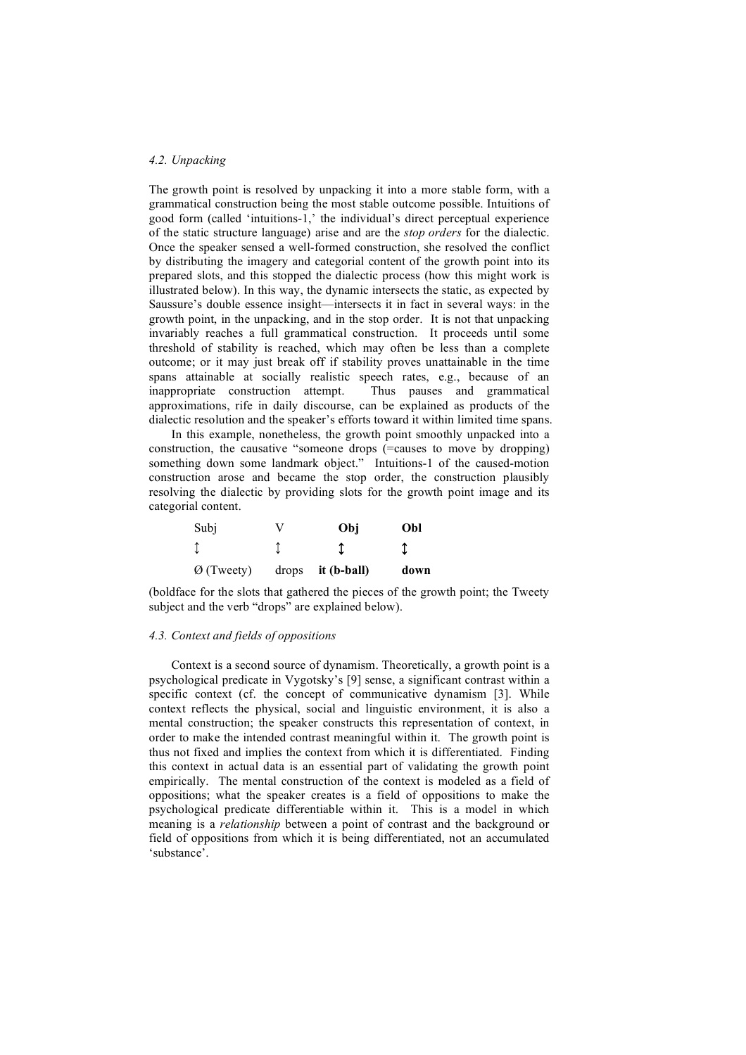#### *4.2. Unpacking*

The growth point is resolved by unpacking it into a more stable form, with a grammatical construction being the most stable outcome possible. Intuitions of good form (called 'intuitions-1,' the individual's direct perceptual experience of the static structure language) arise and are the *stop orders* for the dialectic. Once the speaker sensed a well-formed construction, she resolved the conflict by distributing the imagery and categorial content of the growth point into its prepared slots, and this stopped the dialectic process (how this might work is illustrated below). In this way, the dynamic intersects the static, as expected by Saussure's double essence insight—intersects it in fact in several ways: in the growth point, in the unpacking, and in the stop order. It is not that unpacking invariably reaches a full grammatical construction. It proceeds until some threshold of stability is reached, which may often be less than a complete outcome; or it may just break off if stability proves unattainable in the time spans attainable at socially realistic speech rates, e.g., because of an inappropriate construction attempt. Thus pauses and grammatical approximations, rife in daily discourse, can be explained as products of the dialectic resolution and the speaker's efforts toward it within limited time spans.

In this example, nonetheless, the growth point smoothly unpacked into a construction, the causative "someone drops (=causes to move by dropping) something down some landmark object." Intuitions-1 of the caused-motion construction arose and became the stop order, the construction plausibly resolving the dialectic by providing slots for the growth point image and its categorial content.

| Subi                   | Obi               | Obl  |
|------------------------|-------------------|------|
|                        |                   |      |
| $\varnothing$ (Tweety) | drops it (b-ball) | down |

(boldface for the slots that gathered the pieces of the growth point; the Tweety subject and the verb "drops" are explained below).

#### *4.3. Context and fields of oppositions*

Context is a second source of dynamism. Theoretically, a growth point is a psychological predicate in Vygotsky's [9] sense, a significant contrast within a specific context (cf. the concept of communicative dynamism [3]. While context reflects the physical, social and linguistic environment, it is also a mental construction; the speaker constructs this representation of context, in order to make the intended contrast meaningful within it. The growth point is thus not fixed and implies the context from which it is differentiated. Finding this context in actual data is an essential part of validating the growth point empirically. The mental construction of the context is modeled as a field of oppositions; what the speaker creates is a field of oppositions to make the psychological predicate differentiable within it. This is a model in which meaning is a *relationship* between a point of contrast and the background or field of oppositions from which it is being differentiated, not an accumulated 'substance'.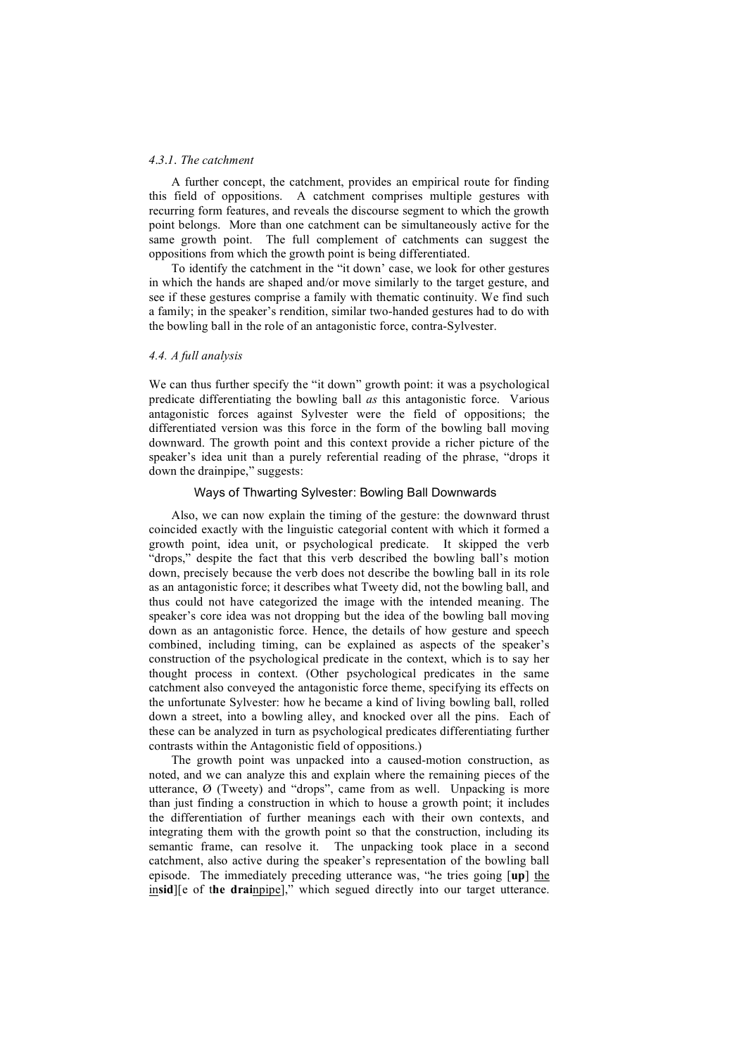#### *4.3.1. The catchment*

A further concept, the catchment, provides an empirical route for finding this field of oppositions. A catchment comprises multiple gestures with recurring form features, and reveals the discourse segment to which the growth point belongs. More than one catchment can be simultaneously active for the same growth point. The full complement of catchments can suggest the oppositions from which the growth point is being differentiated.

To identify the catchment in the "it down' case, we look for other gestures in which the hands are shaped and/or move similarly to the target gesture, and see if these gestures comprise a family with thematic continuity. We find such a family; in the speaker's rendition, similar two-handed gestures had to do with the bowling ball in the role of an antagonistic force, contra-Sylvester.

#### *4.4. A full analysis*

We can thus further specify the "it down" growth point: it was a psychological predicate differentiating the bowling ball *as* this antagonistic force. Various antagonistic forces against Sylvester were the field of oppositions; the differentiated version was this force in the form of the bowling ball moving downward. The growth point and this context provide a richer picture of the speaker's idea unit than a purely referential reading of the phrase, "drops it down the drainpipe," suggests:

#### Ways of Thwarting Sylvester: Bowling Ball Downwards

Also, we can now explain the timing of the gesture: the downward thrust coincided exactly with the linguistic categorial content with which it formed a growth point, idea unit, or psychological predicate. It skipped the verb "drops," despite the fact that this verb described the bowling ball's motion down, precisely because the verb does not describe the bowling ball in its role as an antagonistic force; it describes what Tweety did, not the bowling ball, and thus could not have categorized the image with the intended meaning. The speaker's core idea was not dropping but the idea of the bowling ball moving down as an antagonistic force. Hence, the details of how gesture and speech combined, including timing, can be explained as aspects of the speaker's construction of the psychological predicate in the context, which is to say her thought process in context. (Other psychological predicates in the same catchment also conveyed the antagonistic force theme, specifying its effects on the unfortunate Sylvester: how he became a kind of living bowling ball, rolled down a street, into a bowling alley, and knocked over all the pins. Each of these can be analyzed in turn as psychological predicates differentiating further contrasts within the Antagonistic field of oppositions.)

The growth point was unpacked into a caused-motion construction, as noted, and we can analyze this and explain where the remaining pieces of the utterance, Ø (Tweety) and "drops", came from as well. Unpacking is more than just finding a construction in which to house a growth point; it includes the differentiation of further meanings each with their own contexts, and integrating them with the growth point so that the construction, including its semantic frame, can resolve it. The unpacking took place in a second catchment, also active during the speaker's representation of the bowling ball episode. The immediately preceding utterance was, "he tries going [**up**] the in**sid**][e of t**he drai**npipe]," which segued directly into our target utterance.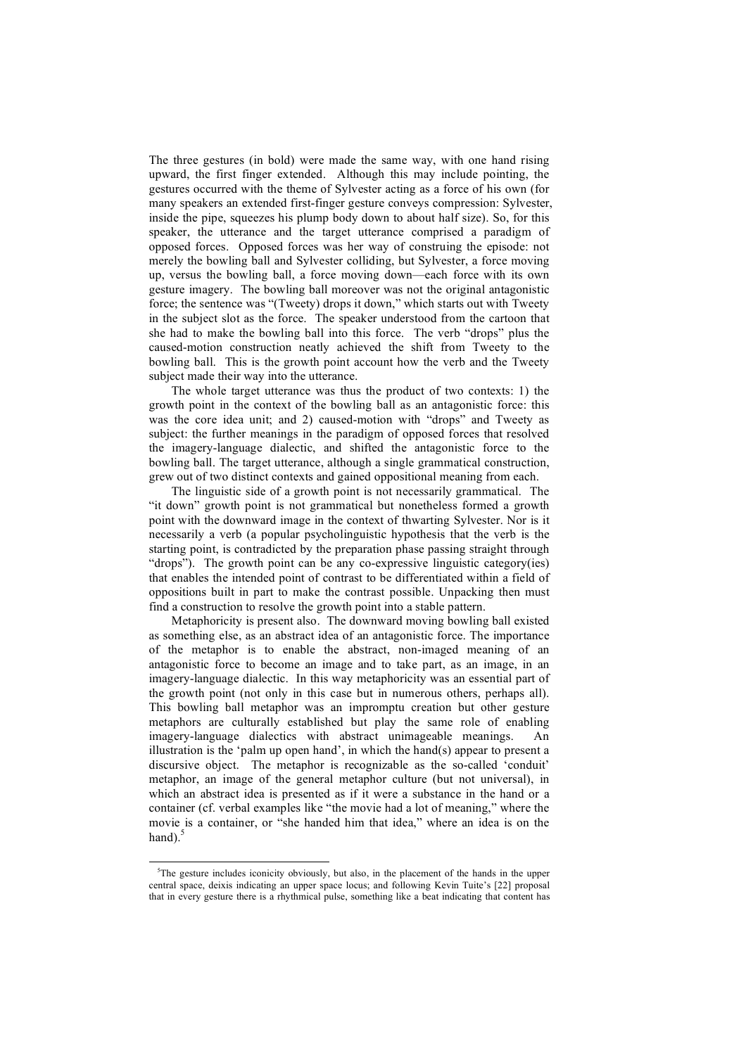The three gestures (in bold) were made the same way, with one hand rising upward, the first finger extended. Although this may include pointing, the gestures occurred with the theme of Sylvester acting as a force of his own (for many speakers an extended first-finger gesture conveys compression: Sylvester, inside the pipe, squeezes his plump body down to about half size). So, for this speaker, the utterance and the target utterance comprised a paradigm of opposed forces. Opposed forces was her way of construing the episode: not merely the bowling ball and Sylvester colliding, but Sylvester, a force moving up, versus the bowling ball, a force moving down—each force with its own gesture imagery. The bowling ball moreover was not the original antagonistic force; the sentence was "(Tweety) drops it down," which starts out with Tweety in the subject slot as the force. The speaker understood from the cartoon that she had to make the bowling ball into this force. The verb "drops" plus the caused-motion construction neatly achieved the shift from Tweety to the bowling ball. This is the growth point account how the verb and the Tweety subject made their way into the utterance.

The whole target utterance was thus the product of two contexts: 1) the growth point in the context of the bowling ball as an antagonistic force: this was the core idea unit; and 2) caused-motion with "drops" and Tweety as subject: the further meanings in the paradigm of opposed forces that resolved the imagery-language dialectic, and shifted the antagonistic force to the bowling ball. The target utterance, although a single grammatical construction, grew out of two distinct contexts and gained oppositional meaning from each.

The linguistic side of a growth point is not necessarily grammatical. The "it down" growth point is not grammatical but nonetheless formed a growth point with the downward image in the context of thwarting Sylvester. Nor is it necessarily a verb (a popular psycholinguistic hypothesis that the verb is the starting point, is contradicted by the preparation phase passing straight through "drops"). The growth point can be any co-expressive linguistic category(ies) that enables the intended point of contrast to be differentiated within a field of oppositions built in part to make the contrast possible. Unpacking then must find a construction to resolve the growth point into a stable pattern.

Metaphoricity is present also. The downward moving bowling ball existed as something else, as an abstract idea of an antagonistic force. The importance of the metaphor is to enable the abstract, non-imaged meaning of an antagonistic force to become an image and to take part, as an image, in an imagery-language dialectic. In this way metaphoricity was an essential part of the growth point (not only in this case but in numerous others, perhaps all). This bowling ball metaphor was an impromptu creation but other gesture metaphors are culturally established but play the same role of enabling imagery-language dialectics with abstract unimageable meanings. An illustration is the 'palm up open hand', in which the hand(s) appear to present a discursive object. The metaphor is recognizable as the so-called 'conduit' metaphor, an image of the general metaphor culture (but not universal), in which an abstract idea is presented as if it were a substance in the hand or a container (cf. verbal examples like "the movie had a lot of meaning," where the movie is a container, or "she handed him that idea," where an idea is on the hand).<sup>5</sup>

<sup>&</sup>lt;sup>5</sup>The gesture includes iconicity obviously, but also, in the placement of the hands in the upper central space, deixis indicating an upper space locus; and following Kevin Tuite's [22] proposal that in every gesture there is a rhythmical pulse, something like a beat indicating that content has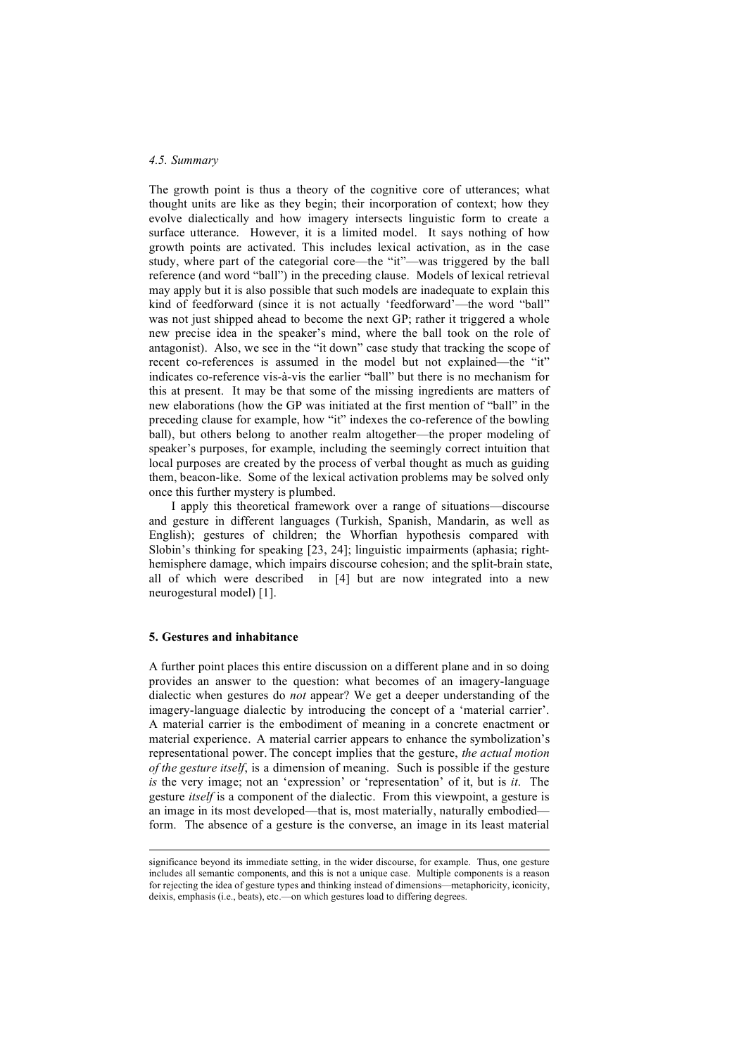#### *4.5. Summary*

The growth point is thus a theory of the cognitive core of utterances; what thought units are like as they begin; their incorporation of context; how they evolve dialectically and how imagery intersects linguistic form to create a surface utterance. However, it is a limited model. It says nothing of how growth points are activated. This includes lexical activation, as in the case study, where part of the categorial core—the "it"—was triggered by the ball reference (and word "ball") in the preceding clause. Models of lexical retrieval may apply but it is also possible that such models are inadequate to explain this kind of feedforward (since it is not actually 'feedforward'—the word "ball" was not just shipped ahead to become the next GP; rather it triggered a whole new precise idea in the speaker's mind, where the ball took on the role of antagonist). Also, we see in the "it down" case study that tracking the scope of recent co-references is assumed in the model but not explained—the "it" indicates co-reference vis-à-vis the earlier "ball" but there is no mechanism for this at present. It may be that some of the missing ingredients are matters of new elaborations (how the GP was initiated at the first mention of "ball" in the preceding clause for example, how "it" indexes the co-reference of the bowling ball), but others belong to another realm altogether—the proper modeling of speaker's purposes, for example, including the seemingly correct intuition that local purposes are created by the process of verbal thought as much as guiding them, beacon-like. Some of the lexical activation problems may be solved only once this further mystery is plumbed.

I apply this theoretical framework over a range of situations—discourse and gesture in different languages (Turkish, Spanish, Mandarin, as well as English); gestures of children; the Whorfian hypothesis compared with Slobin's thinking for speaking [23, 24]; linguistic impairments (aphasia; righthemisphere damage, which impairs discourse cohesion; and the split-brain state, all of which were described in [4] but are now integrated into a new neurogestural model) [1].

#### **5. Gestures and inhabitance**

A further point places this entire discussion on a different plane and in so doing provides an answer to the question: what becomes of an imagery-language dialectic when gestures do *not* appear? We get a deeper understanding of the imagery-language dialectic by introducing the concept of a 'material carrier'. A material carrier is the embodiment of meaning in a concrete enactment or material experience. A material carrier appears to enhance the symbolization's representational power. The concept implies that the gesture, *the actual motion of the gesture itself*, is a dimension of meaning. Such is possible if the gesture *is* the very image; not an 'expression' or 'representation' of it, but is *it*. The gesture *itself* is a component of the dialectic. From this viewpoint, a gesture is an image in its most developed—that is, most materially, naturally embodied form. The absence of a gesture is the converse, an image in its least material

significance beyond its immediate setting, in the wider discourse, for example. Thus, one gesture includes all semantic components, and this is not a unique case. Multiple components is a reason for rejecting the idea of gesture types and thinking instead of dimensions—metaphoricity, iconicity, deixis, emphasis (i.e., beats), etc.—on which gestures load to differing degrees.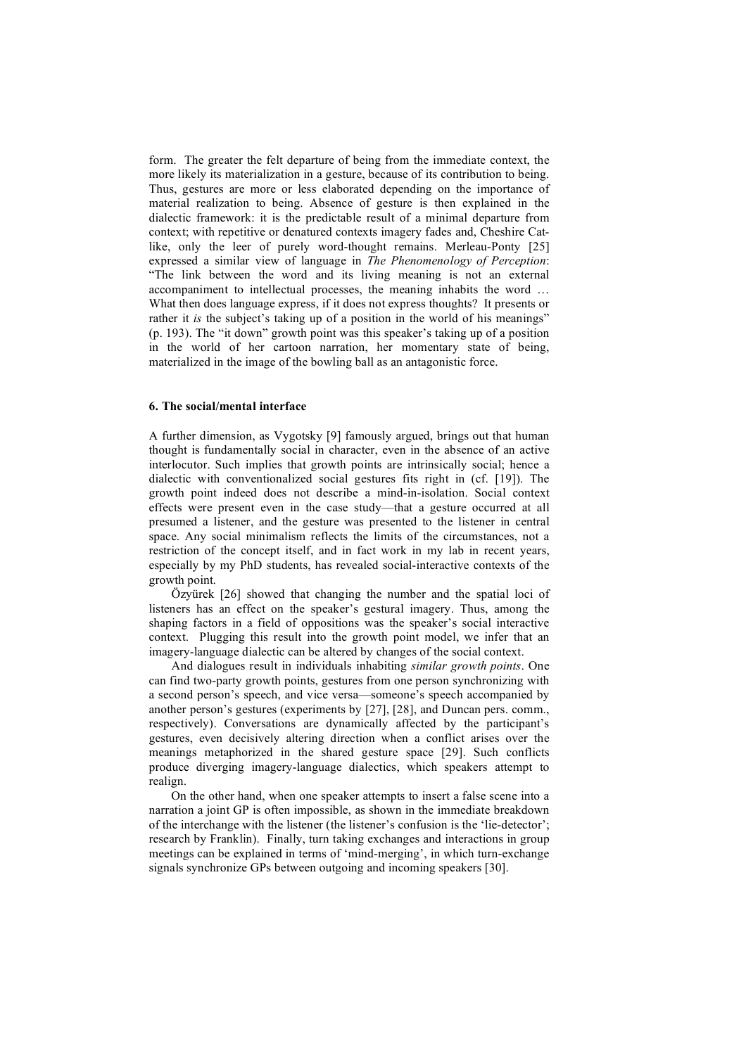form. The greater the felt departure of being from the immediate context, the more likely its materialization in a gesture, because of its contribution to being. Thus, gestures are more or less elaborated depending on the importance of material realization to being. Absence of gesture is then explained in the dialectic framework: it is the predictable result of a minimal departure from context; with repetitive or denatured contexts imagery fades and, Cheshire Catlike, only the leer of purely word-thought remains. Merleau-Ponty [25] expressed a similar view of language in *The Phenomenology of Perception*: "The link between the word and its living meaning is not an external accompaniment to intellectual processes, the meaning inhabits the word … What then does language express, if it does not express thoughts? It presents or rather it *is* the subject's taking up of a position in the world of his meanings" (p. 193). The "it down" growth point was this speaker's taking up of a position in the world of her cartoon narration, her momentary state of being, materialized in the image of the bowling ball as an antagonistic force.

#### **6. The social/mental interface**

A further dimension, as Vygotsky [9] famously argued, brings out that human thought is fundamentally social in character, even in the absence of an active interlocutor. Such implies that growth points are intrinsically social; hence a dialectic with conventionalized social gestures fits right in (cf. [19]). The growth point indeed does not describe a mind-in-isolation. Social context effects were present even in the case study—that a gesture occurred at all presumed a listener, and the gesture was presented to the listener in central space. Any social minimalism reflects the limits of the circumstances, not a restriction of the concept itself, and in fact work in my lab in recent years, especially by my PhD students, has revealed social-interactive contexts of the growth point.

Özyürek [26] showed that changing the number and the spatial loci of listeners has an effect on the speaker's gestural imagery. Thus, among the shaping factors in a field of oppositions was the speaker's social interactive context. Plugging this result into the growth point model, we infer that an imagery-language dialectic can be altered by changes of the social context.

And dialogues result in individuals inhabiting *similar growth points*. One can find two-party growth points, gestures from one person synchronizing with a second person's speech, and vice versa—someone's speech accompanied by another person's gestures (experiments by [27], [28], and Duncan pers. comm., respectively). Conversations are dynamically affected by the participant's gestures, even decisively altering direction when a conflict arises over the meanings metaphorized in the shared gesture space [29]. Such conflicts produce diverging imagery-language dialectics, which speakers attempt to realign.

On the other hand, when one speaker attempts to insert a false scene into a narration a joint GP is often impossible, as shown in the immediate breakdown of the interchange with the listener (the listener's confusion is the 'lie-detector'; research by Franklin). Finally, turn taking exchanges and interactions in group meetings can be explained in terms of 'mind-merging', in which turn-exchange signals synchronize GPs between outgoing and incoming speakers [30].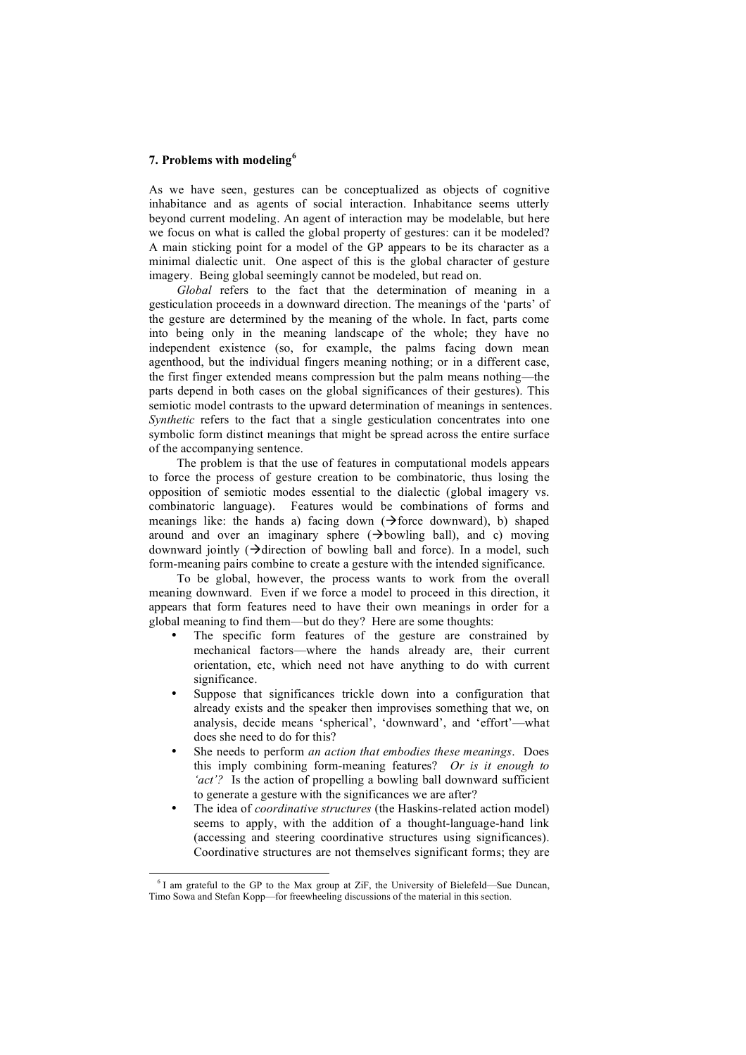# **7. Problems with modeling<sup>6</sup>**

As we have seen, gestures can be conceptualized as objects of cognitive inhabitance and as agents of social interaction. Inhabitance seems utterly beyond current modeling. An agent of interaction may be modelable, but here we focus on what is called the global property of gestures: can it be modeled? A main sticking point for a model of the GP appears to be its character as a minimal dialectic unit. One aspect of this is the global character of gesture imagery. Being global seemingly cannot be modeled, but read on.

*Global* refers to the fact that the determination of meaning in a gesticulation proceeds in a downward direction. The meanings of the 'parts' of the gesture are determined by the meaning of the whole. In fact, parts come into being only in the meaning landscape of the whole; they have no independent existence (so, for example, the palms facing down mean agenthood, but the individual fingers meaning nothing; or in a different case, the first finger extended means compression but the palm means nothing—the parts depend in both cases on the global significances of their gestures). This semiotic model contrasts to the upward determination of meanings in sentences. *Synthetic* refers to the fact that a single gesticulation concentrates into one symbolic form distinct meanings that might be spread across the entire surface of the accompanying sentence.

The problem is that the use of features in computational models appears to force the process of gesture creation to be combinatoric, thus losing the opposition of semiotic modes essential to the dialectic (global imagery vs. combinatoric language). Features would be combinations of forms and meanings like: the hands a) facing down  $(\rightarrow)$  force downward), b) shaped around and over an imaginary sphere  $(\rightarrow)$  bowling ball), and c) moving downward jointly  $(\rightarrow$  direction of bowling ball and force). In a model, such form-meaning pairs combine to create a gesture with the intended significance.

To be global, however, the process wants to work from the overall meaning downward. Even if we force a model to proceed in this direction, it appears that form features need to have their own meanings in order for a global meaning to find them—but do they? Here are some thoughts:

- The specific form features of the gesture are constrained by mechanical factors—where the hands already are, their current orientation, etc, which need not have anything to do with current significance.
- Suppose that significances trickle down into a configuration that already exists and the speaker then improvises something that we, on analysis, decide means 'spherical', 'downward', and 'effort'—what does she need to do for this?
- She needs to perform *an action that embodies these meanings*. Does this imply combining form-meaning features? *Or is it enough to 'act'*? Is the action of propelling a bowling ball downward sufficient to generate a gesture with the significances we are after?
- The idea of *coordinative structures* (the Haskins-related action model) seems to apply, with the addition of a thought-language-hand link (accessing and steering coordinative structures using significances). Coordinative structures are not themselves significant forms; they are

<sup>&</sup>lt;sup>6</sup> I am grateful to the GP to the Max group at ZiF, the University of Bielefeld—Sue Duncan, Timo Sowa and Stefan Kopp—for freewheeling discussions of the material in this section.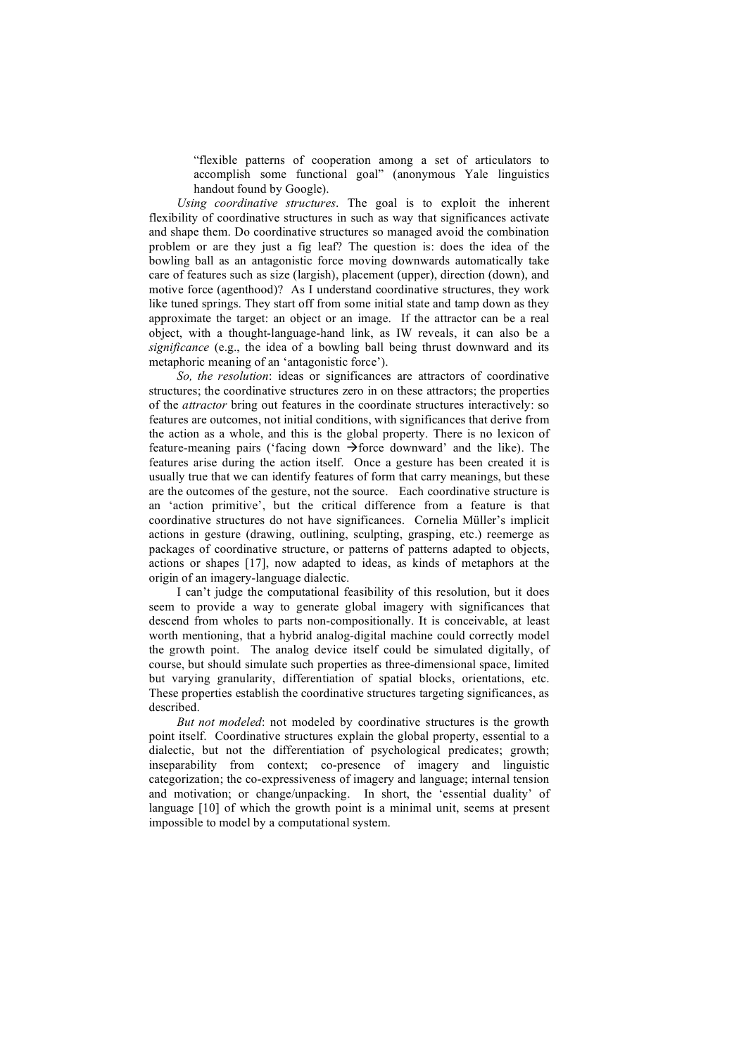"flexible patterns of cooperation among a set of articulators to accomplish some functional goal" (anonymous Yale linguistics handout found by Google).

*Using coordinative structures*. The goal is to exploit the inherent flexibility of coordinative structures in such as way that significances activate and shape them. Do coordinative structures so managed avoid the combination problem or are they just a fig leaf? The question is: does the idea of the bowling ball as an antagonistic force moving downwards automatically take care of features such as size (largish), placement (upper), direction (down), and motive force (agenthood)? As I understand coordinative structures, they work like tuned springs. They start off from some initial state and tamp down as they approximate the target: an object or an image. If the attractor can be a real object, with a thought-language-hand link, as IW reveals, it can also be a *significance* (e.g., the idea of a bowling ball being thrust downward and its metaphoric meaning of an 'antagonistic force').

*So, the resolution*: ideas or significances are attractors of coordinative structures; the coordinative structures zero in on these attractors; the properties of the *attractor* bring out features in the coordinate structures interactively: so features are outcomes, not initial conditions, with significances that derive from the action as a whole, and this is the global property. There is no lexicon of feature-meaning pairs ('facing down  $\rightarrow$  force downward' and the like). The features arise during the action itself. Once a gesture has been created it is usually true that we can identify features of form that carry meanings, but these are the outcomes of the gesture, not the source. Each coordinative structure is an 'action primitive', but the critical difference from a feature is that coordinative structures do not have significances. Cornelia Müller's implicit actions in gesture (drawing, outlining, sculpting, grasping, etc.) reemerge as packages of coordinative structure, or patterns of patterns adapted to objects, actions or shapes [17], now adapted to ideas, as kinds of metaphors at the origin of an imagery-language dialectic.

I can't judge the computational feasibility of this resolution, but it does seem to provide a way to generate global imagery with significances that descend from wholes to parts non-compositionally. It is conceivable, at least worth mentioning, that a hybrid analog-digital machine could correctly model the growth point. The analog device itself could be simulated digitally, of course, but should simulate such properties as three-dimensional space, limited but varying granularity, differentiation of spatial blocks, orientations, etc. These properties establish the coordinative structures targeting significances, as described.

*But not modeled*: not modeled by coordinative structures is the growth point itself. Coordinative structures explain the global property, essential to a dialectic, but not the differentiation of psychological predicates; growth; inseparability from context; co-presence of imagery and linguistic categorization; the co-expressiveness of imagery and language; internal tension and motivation; or change/unpacking. In short, the 'essential duality' of language [10] of which the growth point is a minimal unit, seems at present impossible to model by a computational system.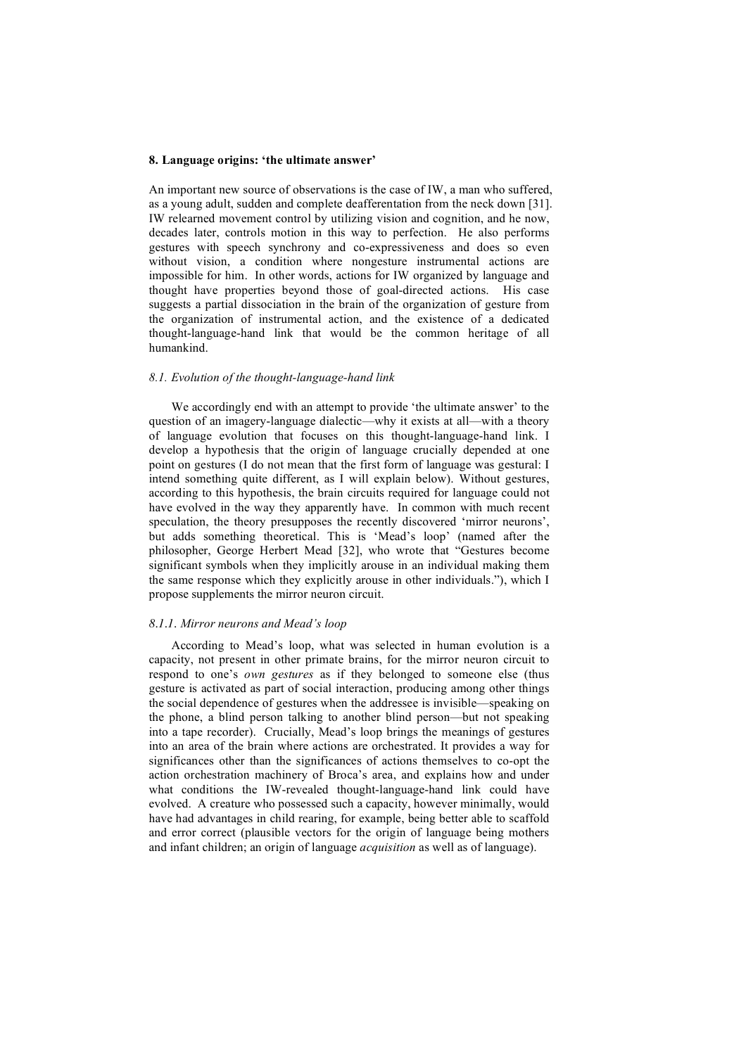#### **8. Language origins: 'the ultimate answer'**

An important new source of observations is the case of IW, a man who suffered, as a young adult, sudden and complete deafferentation from the neck down [31]. IW relearned movement control by utilizing vision and cognition, and he now, decades later, controls motion in this way to perfection. He also performs gestures with speech synchrony and co-expressiveness and does so even without vision, a condition where nongesture instrumental actions are impossible for him. In other words, actions for IW organized by language and thought have properties beyond those of goal-directed actions. His case suggests a partial dissociation in the brain of the organization of gesture from the organization of instrumental action, and the existence of a dedicated thought-language-hand link that would be the common heritage of all humankind.

# *8.1. Evolution of the thought-language-hand link*

We accordingly end with an attempt to provide 'the ultimate answer' to the question of an imagery-language dialectic—why it exists at all—with a theory of language evolution that focuses on this thought-language-hand link. I develop a hypothesis that the origin of language crucially depended at one point on gestures (I do not mean that the first form of language was gestural: I intend something quite different, as I will explain below). Without gestures, according to this hypothesis, the brain circuits required for language could not have evolved in the way they apparently have. In common with much recent speculation, the theory presupposes the recently discovered 'mirror neurons', but adds something theoretical. This is 'Mead's loop' (named after the philosopher, George Herbert Mead [32], who wrote that "Gestures become significant symbols when they implicitly arouse in an individual making them the same response which they explicitly arouse in other individuals."), which I propose supplements the mirror neuron circuit.

# *8.1.1. Mirror neurons and Mead's loop*

According to Mead's loop, what was selected in human evolution is a capacity, not present in other primate brains, for the mirror neuron circuit to respond to one's *own gestures* as if they belonged to someone else (thus gesture is activated as part of social interaction, producing among other things the social dependence of gestures when the addressee is invisible—speaking on the phone, a blind person talking to another blind person—but not speaking into a tape recorder). Crucially, Mead's loop brings the meanings of gestures into an area of the brain where actions are orchestrated. It provides a way for significances other than the significances of actions themselves to co-opt the action orchestration machinery of Broca's area, and explains how and under what conditions the IW-revealed thought-language-hand link could have evolved. A creature who possessed such a capacity, however minimally, would have had advantages in child rearing, for example, being better able to scaffold and error correct (plausible vectors for the origin of language being mothers and infant children; an origin of language *acquisition* as well as of language).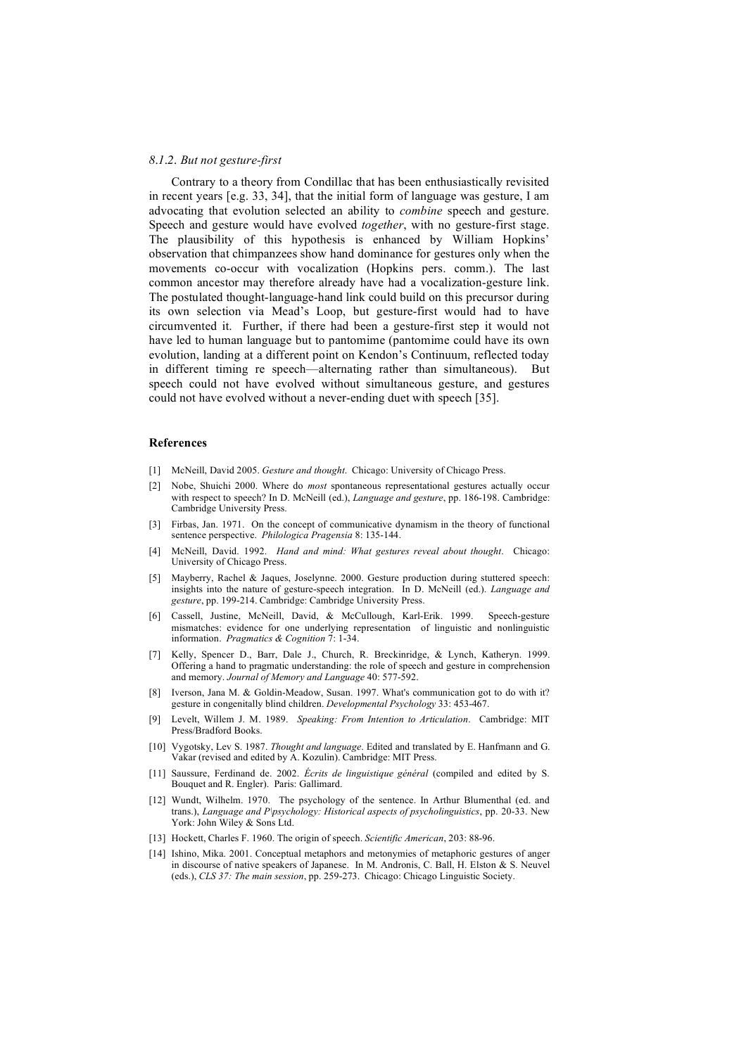#### *8.1.2. But not gesture-first*

Contrary to a theory from Condillac that has been enthusiastically revisited in recent years [e.g. 33, 34], that the initial form of language was gesture, I am advocating that evolution selected an ability to *combine* speech and gesture. Speech and gesture would have evolved *together*, with no gesture-first stage. The plausibility of this hypothesis is enhanced by William Hopkins' observation that chimpanzees show hand dominance for gestures only when the movements co-occur with vocalization (Hopkins pers. comm.). The last common ancestor may therefore already have had a vocalization-gesture link. The postulated thought-language-hand link could build on this precursor during its own selection via Mead's Loop, but gesture-first would had to have circumvented it. Further, if there had been a gesture-first step it would not have led to human language but to pantomime (pantomime could have its own evolution, landing at a different point on Kendon's Continuum, reflected today in different timing re speech—alternating rather than simultaneous). But speech could not have evolved without simultaneous gesture, and gestures could not have evolved without a never-ending duet with speech [35].

#### **References**

- [1] McNeill, David 2005. *Gesture and thought*. Chicago: University of Chicago Press.
- [2] Nobe, Shuichi 2000. Where do *most* spontaneous representational gestures actually occur with respect to speech? In D. McNeill (ed.), *Language and gesture*, pp. 186-198. Cambridge: Cambridge University Press.
- [3] Firbas, Jan. 1971. On the concept of communicative dynamism in the theory of functional sentence perspective. *Philologica Pragensia* 8: 135-144.
- [4] McNeill, David. 1992. *Hand and mind: What gestures reveal about thought*. Chicago: University of Chicago Press.
- [5] Mayberry, Rachel & Jaques, Joselynne. 2000. Gesture production during stuttered speech: insights into the nature of gesture-speech integration. In D. McNeill (ed.). *Language and gesture*, pp. 199-214. Cambridge: Cambridge University Press.
- [6] Cassell, Justine, McNeill, David, & McCullough, Karl-Erik. 1999. Speech-gesture mismatches: evidence for one underlying representation of linguistic and nonlinguistic information. *Pragmatics & Cognition* 7: 1-34.
- [7] Kelly, Spencer D., Barr, Dale J., Church, R. Breckinridge, & Lynch, Katheryn. 1999. Offering a hand to pragmatic understanding: the role of speech and gesture in comprehension and memory. *Journal of Memory and Language* 40: 577-592.
- [8] Iverson, Jana M. & Goldin-Meadow, Susan. 1997. What's communication got to do with it? gesture in congenitally blind children. *Developmental Psychology* 33: 453-467.
- [9] Levelt, Willem J. M. 1989. *Speaking: From Intention to Articulation*. Cambridge: MIT Press/Bradford Books.
- [10] Vygotsky, Lev S. 1987. *Thought and language*. Edited and translated by E. Hanfmann and G. Vakar (revised and edited by A. Kozulin). Cambridge: MIT Press.
- [11] Saussure, Ferdinand de. 2002. *Écrits de linguistique général* (compiled and edited by S. Bouquet and R. Engler). Paris: Gallimard.
- [12] Wundt, Wilhelm. 1970. The psychology of the sentence. In Arthur Blumenthal (ed. and trans.), *Language and P\psychology: Historical aspects of psycholinguistics*, pp. 20-33. New York: John Wiley & Sons Ltd.
- [13] Hockett, Charles F. 1960. The origin of speech. *Scientific American*, 203: 88-96.
- [14] Ishino, Mika. 2001. Conceptual metaphors and metonymies of metaphoric gestures of anger in discourse of native speakers of Japanese. In M. Andronis, C. Ball, H. Elston & S. Neuvel (eds.), *CLS 37: The main session*, pp. 259-273. Chicago: Chicago Linguistic Society.